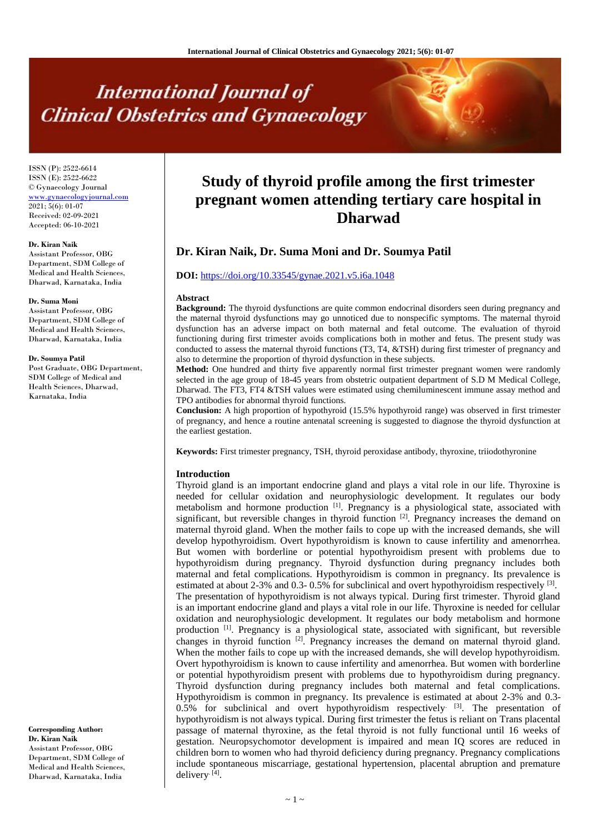# **International Journal of Clinical Obstetrics and Gynaecology**

ISSN (P): 2522-6614 ISSN (E): 2522-6622 © Gynaecology Journal [www.gynaecologyjournal.com](http://www.gynaecologyjournal.com/) 2021; 5(6): 01-07 Received: 02-09-2021 Accepted: 06-10-2021

## **Dr. Kiran Naik**

Assistant Professor, OBG Department, SDM College of Medical and Health Sciences, Dharwad, Karnataka, India

#### **Dr. Suma Moni**

Assistant Professor, OBG Department, SDM College of Medical and Health Sciences, Dharwad, Karnataka, India

#### **Dr. Soumya Patil**

Post Graduate, OBG Department, SDM College of Medical and Health Sciences, Dharwad, Karnataka, India

**Corresponding Author: Dr. Kiran Naik** Assistant Professor, OBG Department, SDM College of Medical and Health Sciences, Dharwad, Karnataka, India

# **Study of thyroid profile among the first trimester pregnant women attending tertiary care hospital in Dharwad**

# **Dr. Kiran Naik, Dr. Suma Moni and Dr. Soumya Patil**

# **DOI:** <https://doi.org/10.33545/gynae.2021.v5.i6a.1048>

#### **Abstract**

**Background:** The thyroid dysfunctions are quite common endocrinal disorders seen during pregnancy and the maternal thyroid dysfunctions may go unnoticed due to nonspecific symptoms. The maternal thyroid dysfunction has an adverse impact on both maternal and fetal outcome. The evaluation of thyroid functioning during first trimester avoids complications both in mother and fetus. The present study was conducted to assess the maternal thyroid functions (T3, T4, &TSH) during first trimester of pregnancy and also to determine the proportion of thyroid dysfunction in these subjects.

**Method:** One hundred and thirty five apparently normal first trimester pregnant women were randomly selected in the age group of 18-45 years from obstetric outpatient department of S.D M Medical College, Dharwad. The FT3, FT4 &TSH values were estimated using chemiluminescent immune assay method and TPO antibodies for abnormal thyroid functions.

**Conclusion:** A high proportion of hypothyroid (15.5% hypothyroid range) was observed in first trimester of pregnancy, and hence a routine antenatal screening is suggested to diagnose the thyroid dysfunction at the earliest gestation.

**Keywords:** First trimester pregnancy, TSH, thyroid peroxidase antibody, thyroxine, triiodothyronine

#### **Introduction**

Thyroid gland is an important endocrine gland and plays a vital role in our life. Thyroxine is needed for cellular oxidation and neurophysiologic development. It regulates our body metabolism and hormone production [1]. Pregnancy is a physiological state, associated with significant, but reversible changes in thyroid function  $[2]$ . Pregnancy increases the demand on maternal thyroid gland. When the mother fails to cope up with the increased demands, she will develop hypothyroidism. Overt hypothyroidism is known to cause infertility and amenorrhea. But women with borderline or potential hypothyroidism present with problems due to hypothyroidism during pregnancy. Thyroid dysfunction during pregnancy includes both maternal and fetal complications. Hypothyroidism is common in pregnancy. Its prevalence is estimated at about 2-3% and 0.3-0.5% for subclinical and overt hypothyroidism respectively <sup>[3]</sup>. The presentation of hypothyroidism is not always typical. During first trimester. Thyroid gland is an important endocrine gland and plays a vital role in our life. Thyroxine is needed for cellular oxidation and neurophysiologic development. It regulates our body metabolism and hormone production <sup>[1]</sup>. Pregnancy is a physiological state, associated with significant, but reversible changes in thyroid function <sup>[2]</sup>. Pregnancy increases the demand on maternal thyroid gland. When the mother fails to cope up with the increased demands, she will develop hypothyroidism. Overt hypothyroidism is known to cause infertility and amenorrhea. But women with borderline or potential hypothyroidism present with problems due to hypothyroidism during pregnancy. Thyroid dysfunction during pregnancy includes both maternal and fetal complications. Hypothyroidism is common in pregnancy. Its prevalence is estimated at about 2-3% and 0.3-  $0.5\%$  for subclinical and overt hypothyroidism respectively<sup>[3]</sup>. The presentation of hypothyroidism is not always typical. During first trimester the fetus is reliant on Trans placental passage of maternal thyroxine, as the fetal thyroid is not fully functional until 16 weeks of gestation. Neuropsychomotor development is impaired and mean IQ scores are reduced in children born to women who had thyroid deficiency during pregnancy. Pregnancy complications include spontaneous miscarriage, gestational hypertension, placental abruption and premature delivery. [4] .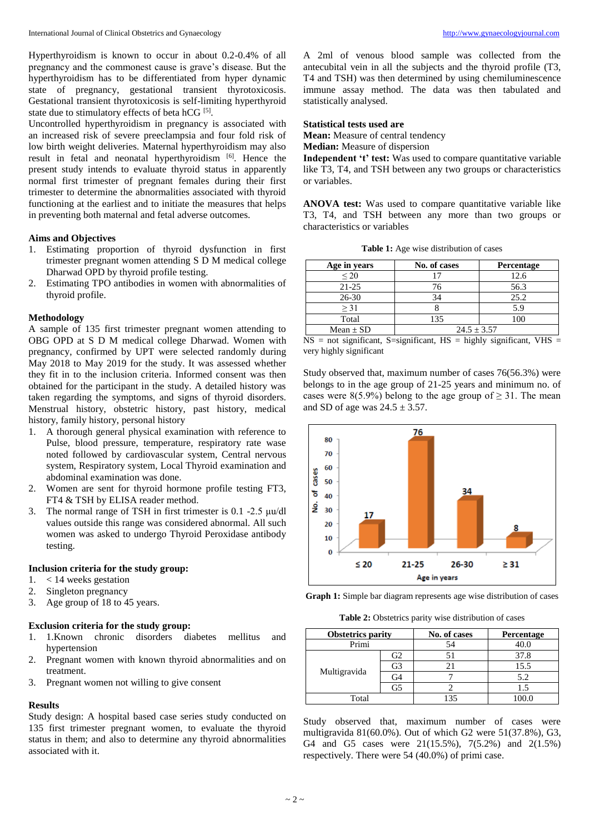Hyperthyroidism is known to occur in about 0.2-0.4% of all pregnancy and the commonest cause is grave's disease. But the hyperthyroidism has to be differentiated from hyper dynamic state of pregnancy, gestational transient thyrotoxicosis. Gestational transient thyrotoxicosis is self-limiting hyperthyroid state due to stimulatory effects of beta hCG [5].

Uncontrolled hyperthyroidism in pregnancy is associated with an increased risk of severe preeclampsia and four fold risk of low birth weight deliveries. Maternal hyperthyroidism may also result in fetal and neonatal hyperthyroidism [6]. Hence the present study intends to evaluate thyroid status in apparently normal first trimester of pregnant females during their first trimester to determine the abnormalities associated with thyroid functioning at the earliest and to initiate the measures that helps in preventing both maternal and fetal adverse outcomes.

# **Aims and Objectives**

- 1. Estimating proportion of thyroid dysfunction in first trimester pregnant women attending S D M medical college Dharwad OPD by thyroid profile testing.
- 2. Estimating TPO antibodies in women with abnormalities of thyroid profile.

# **Methodology**

A sample of 135 first trimester pregnant women attending to OBG OPD at S D M medical college Dharwad. Women with pregnancy, confirmed by UPT were selected randomly during May 2018 to May 2019 for the study. It was assessed whether they fit in to the inclusion criteria. Informed consent was then obtained for the participant in the study. A detailed history was taken regarding the symptoms, and signs of thyroid disorders. Menstrual history, obstetric history, past history, medical history, family history, personal history

- 1. A thorough general physical examination with reference to Pulse, blood pressure, temperature, respiratory rate wase noted followed by cardiovascular system, Central nervous system, Respiratory system, Local Thyroid examination and abdominal examination was done.
- 2. Women are sent for thyroid hormone profile testing FT3, FT4 & TSH by ELISA reader method.
- 3. The normal range of TSH in first trimester is 0.1 -2.5 μu/dl values outside this range was considered abnormal. All such women was asked to undergo Thyroid Peroxidase antibody testing.

# **Inclusion criteria for the study group:**

- 1. < 14 weeks gestation
- 2. Singleton pregnancy
- 3. Age group of 18 to 45 years.

# **Exclusion criteria for the study group:**

- 1. 1.Known chronic disorders diabetes mellitus and hypertension
- 2. Pregnant women with known thyroid abnormalities and on treatment.
- 3. Pregnant women not willing to give consent

#### **Results**

Study design: A hospital based case series study conducted on 135 first trimester pregnant women, to evaluate the thyroid status in them; and also to determine any thyroid abnormalities associated with it.

A 2ml of venous blood sample was collected from the antecubital vein in all the subjects and the thyroid profile (T3, T4 and TSH) was then determined by using chemiluminescence immune assay method. The data was then tabulated and statistically analysed.

# **Statistical tests used are**

**Mean:** Measure of central tendency

**Median:** Measure of dispersion

**Independent 't' test:** Was used to compare quantitative variable like T3, T4, and TSH between any two groups or characteristics or variables.

**ANOVA test:** Was used to compare quantitative variable like T3, T4, and TSH between any more than two groups or characteristics or variables

**Table 1:** Age wise distribution of cases

| Age in years  | No. of cases    | <b>Percentage</b> |
|---------------|-----------------|-------------------|
| $\leq$ 20     |                 | 12.6              |
| $21 - 25$     | 76              | 56.3              |
| $26 - 30$     | 34              | 25.2              |
| $>$ 31        |                 | 5.9               |
| Total         | 135             |                   |
| Mean $\pm$ SD | $24.5 \pm 3.57$ |                   |

 $NS = not significant, S=significant, HS = highly significant, VHS =$ very highly significant

Study observed that, maximum number of cases 76(56.3%) were belongs to in the age group of 21-25 years and minimum no. of cases were 8(5.9%) belong to the age group of  $\geq$  31. The mean and SD of age was  $24.5 \pm 3.57$ .



**Graph 1:** Simple bar diagram represents age wise distribution of cases

**Table 2:** Obstetrics parity wise distribution of cases

| <b>Obstetrics parity</b> |      | No. of cases | Percentage |  |
|--------------------------|------|--------------|------------|--|
| Primi                    |      | 54           | 40.0       |  |
|                          | ' i2 | 51           | 37.8       |  |
| Multigravida             | G3   | 21           | 15.5       |  |
|                          | G4   |              | 5.2        |  |
|                          | G5   |              | 1.5        |  |
| Total                    |      | 135          | .00.0      |  |

Study observed that, maximum number of cases were multigravida 81(60.0%). Out of which G2 were 51(37.8%), G3, G4 and G5 cases were 21(15.5%), 7(5.2%) and 2(1.5%) respectively. There were 54 (40.0%) of primi case.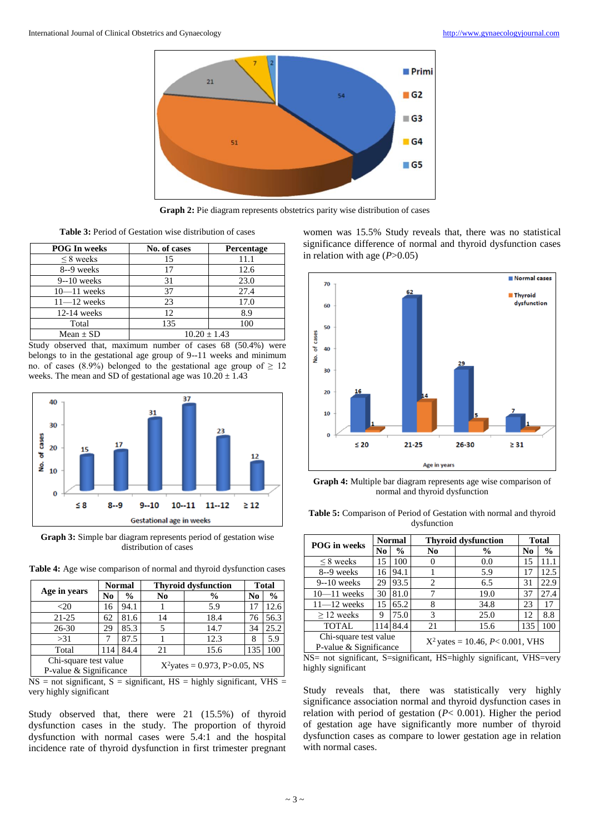

**Graph 2:** Pie diagram represents obstetrics parity wise distribution of cases

**Table 3:** Period of Gestation wise distribution of cases

| <b>POG In weeks</b> | No. of cases   | Percentage |
|---------------------|----------------|------------|
| $\leq$ 8 weeks      | 15             | 11.1       |
| 8--9 weeks          | 17             | 12.6       |
| $9-10$ weeks        | 31             | 23.0       |
| $10 - 11$ weeks     | 37             | 27.4       |
| $11 - 12$ weeks     | 23             | 17.0       |
| $12-14$ weeks       | 12             | 8.9        |
| Total               | 135            | 100        |
| Mean $\pm$ SD       | $10.20 + 1.43$ |            |

Study observed that, maximum number of cases 68 (50.4%) were belongs to in the gestational age group of 9--11 weeks and minimum no. of cases (8.9%) belonged to the gestational age group of  $\geq$  12 weeks. The mean and SD of gestational age was  $10.20 \pm 1.43$ 



**Graph 3:** Simple bar diagram represents period of gestation wise distribution of cases

**Table 4:** Age wise comparison of normal and thyroid dysfunction cases

|                        | <b>Normal</b> |                                 | <b>Thyroid dysfunction</b> |               | <b>Total</b> |               |
|------------------------|---------------|---------------------------------|----------------------------|---------------|--------------|---------------|
| Age in years           | No            | $\frac{0}{0}$                   | No                         | $\frac{6}{6}$ | No           | $\frac{0}{0}$ |
| $<$ 20                 | 16            | 94.1                            |                            | 5.9           |              | 12.6          |
| $21 - 25$              | 62            | 81.6                            | 14                         | 18.4          | 76           | 56.3          |
| $26 - 30$              | 29            | 85.3                            |                            | 14.7          | 34           | 25.2          |
| >31                    |               | 87.5                            |                            | 12.3          | 8            | 5.9           |
| Total                  | 114           | 84.4                            | 21                         | 15.6          | 135          | 100           |
| Chi-square test value  |               | $X^2$ yates = 0.973, P>0.05, NS |                            |               |              |               |
| P-value & Significance |               |                                 |                            |               |              |               |

 $NS = not$  significant,  $S =$  significant,  $HS =$  highly significant,  $VHS =$ very highly significant

Study observed that, there were 21 (15.5%) of thyroid dysfunction cases in the study. The proportion of thyroid dysfunction with normal cases were 5.4:1 and the hospital incidence rate of thyroid dysfunction in first trimester pregnant women was 15.5% Study reveals that, there was no statistical significance difference of normal and thyroid dysfunction cases in relation with age  $(P>0.05)$ 



**Graph 4:** Multiple bar diagram represents age wise comparison of normal and thyroid dysfunction

| <b>Table 5:</b> Comparison of Period of Gestation with normal and thyroid |  |
|---------------------------------------------------------------------------|--|
| dysfunction                                                               |  |

| <b>POG</b> in weeks                             |    | <b>Normal</b>                          | <b>Thyroid dysfunction</b>  |               | <b>Total</b>   |               |
|-------------------------------------------------|----|----------------------------------------|-----------------------------|---------------|----------------|---------------|
|                                                 | No | $\frac{0}{0}$                          | No.                         | $\frac{0}{0}$ | N <sub>0</sub> | $\frac{6}{9}$ |
| $\leq$ 8 weeks                                  | 15 | 100                                    |                             | 0.0           | 15             | 11.1          |
| 8--9 weeks                                      | 16 | 94.1                                   |                             | 5.9           | 17             | 12.5          |
| $9 - 10$ weeks                                  | 29 | 93.5                                   | $\mathcal{D}_{\mathcal{L}}$ | 6.5           | 31             | 22.9          |
| $10 - 11$ weeks                                 | 30 | 81.0                                   |                             | 19.0          | 37             | 27.4          |
| $11 - 12$ weeks                                 | 15 | 65.2                                   | 8                           | 34.8          | 23             | 17            |
| $\geq$ 12 weeks                                 | 9  | 75.0                                   | 3                           | 25.0          | 12             | 8.8           |
| <b>TOTAL</b>                                    |    | 114 84.4                               | 21                          | 15.6          | 135            | 100           |
| Chi-square test value<br>P-value & Significance |    | $X^2$ yates = 10.46, $P < 0.001$ , VHS |                             |               |                |               |

NS= not significant, S=significant, HS=highly significant, VHS=very highly significant

Study reveals that, there was statistically very highly significance association normal and thyroid dysfunction cases in relation with period of gestation (*P*< 0.001). Higher the period of gestation age have significantly more number of thyroid dysfunction cases as compare to lower gestation age in relation with normal cases.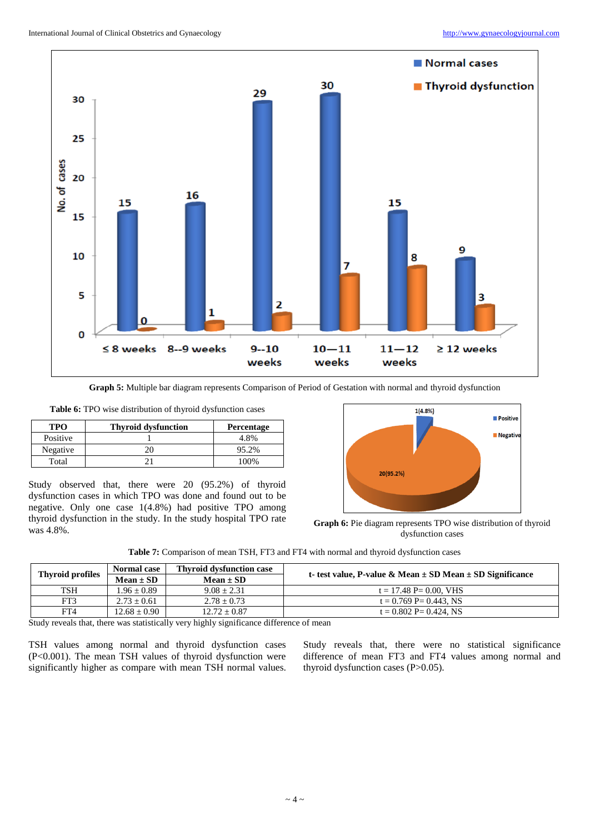

**Graph 5:** Multiple bar diagram represents Comparison of Period of Gestation with normal and thyroid dysfunction

**Table 6:** TPO wise distribution of thyroid dysfunction cases

| TPO      | <b>Thyroid dysfunction</b> | <b>Percentage</b> |
|----------|----------------------------|-------------------|
| Positive |                            | 4.8%              |
| Negative |                            | 95.2%             |
| Total    |                            | 100%              |

Study observed that, there were 20 (95.2%) of thyroid dysfunction cases in which TPO was done and found out to be negative. Only one case 1(4.8%) had positive TPO among thyroid dysfunction in the study. In the study hospital TPO rate was 4.8%.



**Graph 6:** Pie diagram represents TPO wise distribution of thyroid dysfunction cases

| <b>Table 7:</b> Comparison of mean TSH, FT3 and FT4 with normal and thyroid dysfunction cases |  |  |
|-----------------------------------------------------------------------------------------------|--|--|
|-----------------------------------------------------------------------------------------------|--|--|

| <b>Thyroid profiles</b> | <b>Normal case</b> | <b>Thyroid dysfunction case</b> | t- test value, P-value & Mean $\pm$ SD Mean $\pm$ SD Significance |
|-------------------------|--------------------|---------------------------------|-------------------------------------------------------------------|
|                         | $Mean \pm SD$      | $Mean \pm SD$                   |                                                                   |
| TSH                     | $1.96 \pm 0.89$    | $9.08 + 2.31$                   | $t = 17.48$ P= 0.00. VHS                                          |
| FT3                     | $2.73 + 0.61$      | $2.78 + 0.73$                   | $t = 0.769$ P= 0.443. NS                                          |
| FT4                     | $12.68 \pm 0.90$   | $12.72 \pm 0.87$                | $t = 0.802$ P= 0.424. NS                                          |

Study reveals that, there was statistically very highly significance difference of mean

TSH values among normal and thyroid dysfunction cases (P<0.001). The mean TSH values of thyroid dysfunction were significantly higher as compare with mean TSH normal values. Study reveals that, there were no statistical significance difference of mean FT3 and FT4 values among normal and thyroid dysfunction cases (P>0.05).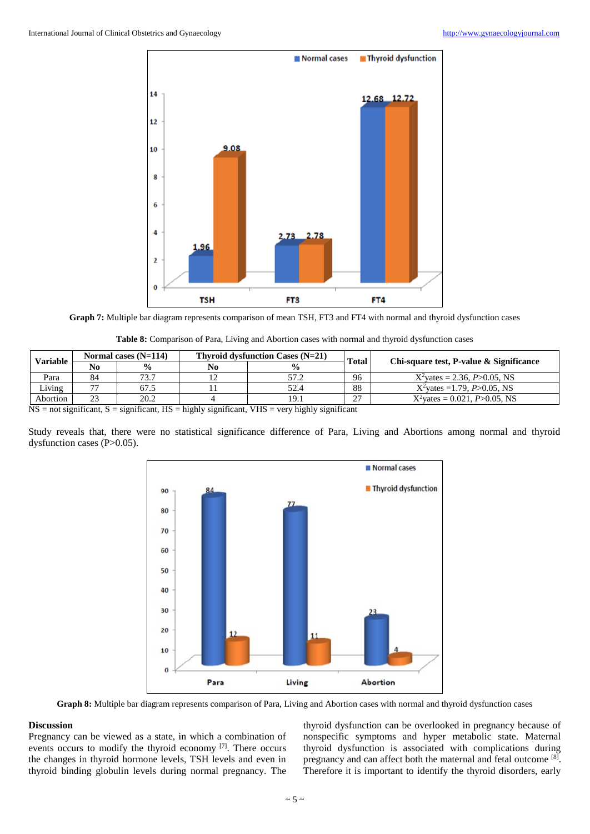

**Graph 7:** Multiple bar diagram represents comparison of mean TSH, FT3 and FT4 with normal and thyroid dysfunction cases

| <b>Table 8:</b> Comparison of Para, Living and Abortion cases with normal and thyroid dysfunction cases |  |  |
|---------------------------------------------------------------------------------------------------------|--|--|
|                                                                                                         |  |  |

| <b>Variable</b>                                                                                 |                | Normal cases $(N=114)$ |    | Thyroid dysfunction Cases $(N=21)$ | <b>Total</b> | Chi-square test, P-value & Significance |
|-------------------------------------------------------------------------------------------------|----------------|------------------------|----|------------------------------------|--------------|-----------------------------------------|
|                                                                                                 | N <sub>0</sub> | $\frac{0}{0}$          | No | $\frac{1}{2}$                      |              |                                         |
| Para                                                                                            | 84             | 73.7                   |    |                                    | 96           | $X^2$ vates = 2.36, P $>0.05$ , NS      |
| Living                                                                                          |                | 67.5                   |    | 52.4                               | 88           | $X^2$ vates = 1.79, P $> 0.05$ , NS     |
| Abortion                                                                                        |                | 20.2                   |    |                                    | 27           | $X^2$ vates = 0.021, P>0.05, NS         |
| NIC - a a chaidheachd - a chaidheachd IIC - Liabha a caoidheachd NIIC - acus biabha a cuidheach |                |                        |    |                                    |              |                                         |

 $NS = not significant, S = significant, HS = highly significant, VHS = very highly significant$ 

Study reveals that, there were no statistical significance difference of Para, Living and Abortions among normal and thyroid dysfunction cases (P>0.05).



**Graph 8:** Multiple bar diagram represents comparison of Para, Living and Abortion cases with normal and thyroid dysfunction cases

# **Discussion**

Pregnancy can be viewed as a state, in which a combination of events occurs to modify the thyroid economy  $[7]$ . There occurs the changes in thyroid hormone levels, TSH levels and even in thyroid binding globulin levels during normal pregnancy. The

thyroid dysfunction can be overlooked in pregnancy because of nonspecific symptoms and hyper metabolic state. Maternal thyroid dysfunction is associated with complications during pregnancy and can affect both the maternal and fetal outcome [8]. Therefore it is important to identify the thyroid disorders, early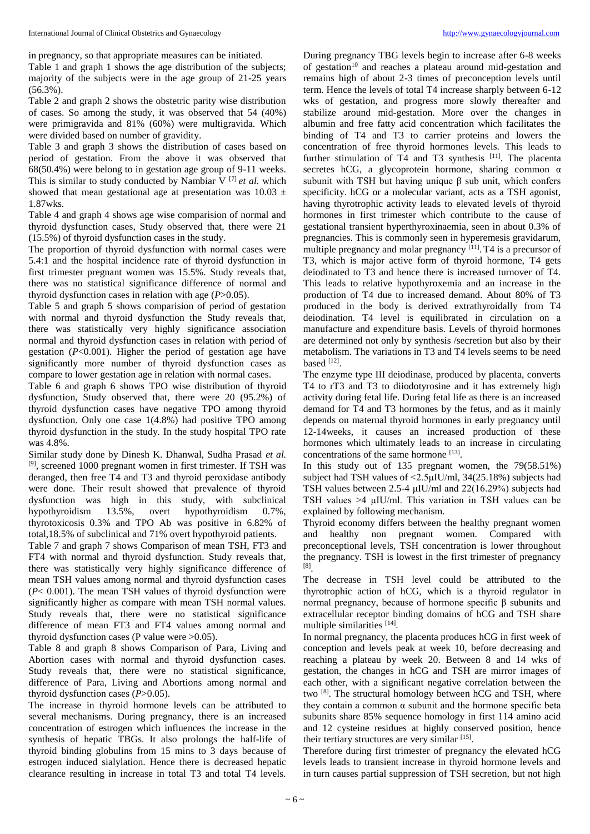Table 1 and graph 1 shows the age distribution of the subjects; majority of the subjects were in the age group of 21-25 years (56.3%).

Table 2 and graph 2 shows the obstetric parity wise distribution of cases. So among the study, it was observed that 54 (40%) were primigravida and 81% (60%) were multigravida. Which were divided based on number of gravidity.

Table 3 and graph 3 shows the distribution of cases based on period of gestation. From the above it was observed that 68(50.4%) were belong to in gestation age group of 9-11 weeks. This is similar to study conducted by Nambiar  $V^{[7]}$  *et al.* which showed that mean gestational age at presentation was  $10.03 \pm 10.03$ 1.87wks.

Table 4 and graph 4 shows age wise comparision of normal and thyroid dysfunction cases, Study observed that, there were 21 (15.5%) of thyroid dysfunction cases in the study.

The proportion of thyroid dysfunction with normal cases were 5.4:1 and the hospital incidence rate of thyroid dysfunction in first trimester pregnant women was 15.5%. Study reveals that, there was no statistical significance difference of normal and thyroid dysfunction cases in relation with age (*P*>0.05).

Table 5 and graph 5 shows comparision of period of gestation with normal and thyroid dysfunction the Study reveals that, there was statistically very highly significance association normal and thyroid dysfunction cases in relation with period of gestation (*P*<0.001). Higher the period of gestation age have significantly more number of thyroid dysfunction cases as compare to lower gestation age in relation with normal cases.

Table 6 and graph 6 shows TPO wise distribution of thyroid dysfunction, Study observed that, there were 20 (95.2%) of thyroid dysfunction cases have negative TPO among thyroid dysfunction. Only one case 1(4.8%) had positive TPO among thyroid dysfunction in the study. In the study hospital TPO rate was 4.8%.

Similar study done by Dinesh K. Dhanwal, Sudha Prasad *et al.* [9], screened 1000 pregnant women in first trimester. If TSH was deranged, then free T4 and T3 and thyroid peroxidase antibody were done. Their result showed that prevalence of thyroid dysfunction was high in this study, with subclinical hypothyroidism 13.5%, overt hypothyroidism 0.7%, thyrotoxicosis 0.3% and TPO Ab was positive in 6.82% of total,18.5% of subclinical and 71% overt hypothyroid patients.

Table 7 and graph 7 shows Comparison of mean TSH, FT3 and FT4 with normal and thyroid dysfunction. Study reveals that, there was statistically very highly significance difference of mean TSH values among normal and thyroid dysfunction cases (*P*< 0.001). The mean TSH values of thyroid dysfunction were significantly higher as compare with mean TSH normal values. Study reveals that, there were no statistical significance difference of mean FT3 and FT4 values among normal and thyroid dysfunction cases (P value were >0.05).

Table 8 and graph 8 shows Comparison of Para, Living and Abortion cases with normal and thyroid dysfunction cases. Study reveals that, there were no statistical significance, difference of Para, Living and Abortions among normal and thyroid dysfunction cases (*P*>0.05).

The increase in thyroid hormone levels can be attributed to several mechanisms. During pregnancy, there is an increased concentration of estrogen which influences the increase in the synthesis of hepatic TBGs. It also prolongs the half-life of thyroid binding globulins from 15 mins to 3 days because of estrogen induced sialylation. Hence there is decreased hepatic clearance resulting in increase in total T3 and total T4 levels.

During pregnancy TBG levels begin to increase after 6-8 weeks of gestation<sup>10</sup> and reaches a plateau around mid-gestation and remains high of about 2-3 times of preconception levels until term. Hence the levels of total T4 increase sharply between 6-12 wks of gestation, and progress more slowly thereafter and stabilize around mid-gestation. More over the changes in albumin and free fatty acid concentration which facilitates the binding of T4 and T3 to carrier proteins and lowers the concentration of free thyroid hormones levels. This leads to further stimulation of  $T4$  and T3 synthesis [11]. The placenta secretes hCG, a glycoprotein hormone, sharing common  $\alpha$ subunit with TSH but having unique β sub unit, which confers specificity. hCG or a molecular variant, acts as a TSH agonist, having thyrotrophic activity leads to elevated levels of thyroid hormones in first trimester which contribute to the cause of gestational transient hyperthyroxinaemia, seen in about 0.3% of pregnancies. This is commonly seen in hyperemesis gravidarum, multiple pregnancy and molar pregnancy [11]. T4 is a precursor of T3, which is major active form of thyroid hormone, T4 gets deiodinated to T3 and hence there is increased turnover of T4. This leads to relative hypothyroxemia and an increase in the production of T4 due to increased demand. About 80% of T3 produced in the body is derived extrathyroidally from T4 deiodination. T4 level is equilibrated in circulation on a manufacture and expenditure basis. Levels of thyroid hormones are determined not only by synthesis /secretion but also by their metabolism. The variations in T3 and T4 levels seems to be need based  $^{[12]}$ .

The enzyme type III deiodinase, produced by placenta, converts T4 to rT3 and T3 to diiodotyrosine and it has extremely high activity during fetal life. During fetal life as there is an increased demand for T4 and T3 hormones by the fetus, and as it mainly depends on maternal thyroid hormones in early pregnancy until 12-14weeks, it causes an increased production of these hormones which ultimately leads to an increase in circulating concentrations of the same hormone [13].

In this study out of 135 pregnant women, the 79(58.51%) subject had TSH values of  $\leq 2.5 \mu$ IU/ml, 34(25.18%) subjects had TSH values between 2.5-4 μIU/ml and 22(16.29%) subjects had TSH values >4 μIU/ml. This variation in TSH values can be explained by following mechanism.

Thyroid economy differs between the healthy pregnant women and healthy non pregnant women. Compared with preconceptional levels, TSH concentration is lower throughout the pregnancy. TSH is lowest in the first trimester of pregnancy [8] .

The decrease in TSH level could be attributed to the thyrotrophic action of hCG, which is a thyroid regulator in normal pregnancy, because of hormone specific β subunits and extracellular receptor binding domains of hCG and TSH share multiple similarities [14].

In normal pregnancy, the placenta produces hCG in first week of conception and levels peak at week 10, before decreasing and reaching a plateau by week 20. Between 8 and 14 wks of gestation, the changes in hCG and TSH are mirror images of each other, with a significant negative correlation between the two [8]. The structural homology between hCG and TSH, where they contain a common α subunit and the hormone specific beta subunits share 85% sequence homology in first 114 amino acid and 12 cysteine residues at highly conserved position, hence their tertiary structures are very similar [15].

Therefore during first trimester of pregnancy the elevated hCG levels leads to transient increase in thyroid hormone levels and in turn causes partial suppression of TSH secretion, but not high